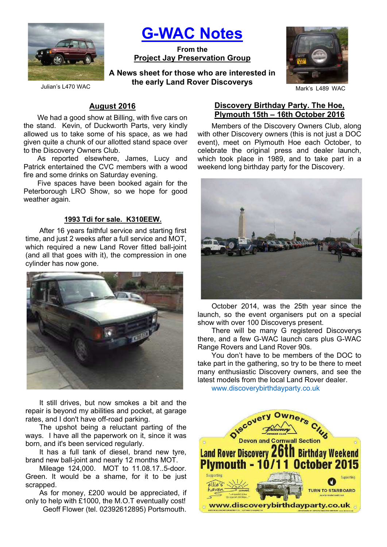

G-WAC Notes

From the Project Jay Preservation Group

Julian's L470 WAC **COLLUTE CALLY LATIN TYPY OF LABBARK** DISCUSSES MARK'S LABBARK'S LABBARK'S LABBARK'S LABBARK'S LABBARK'S LABBARK'S LABBARK'S LABBARK'S LABBARK'S LABBARK'S LABBARK'S LABBARK'S LABBARK'S LABBARK'S LABBARK'S A News sheet for those who are interested in the early Land Rover Discoverys



# August 2016

We had a good show at Billing, with five cars on the stand. Kevin, of Duckworth Parts, very kindly allowed us to take some of his space, as we had given quite a chunk of our allotted stand space over to the Discovery Owners Club.

As reported elsewhere, James, Lucy and Patrick entertained the CVC members with a wood fire and some drinks on Saturday evening.

Five spaces have been booked again for the Peterborough LRO Show, so we hope for good weather again.

#### 1993 Tdi for sale. K310EEW.

After 16 years faithful service and starting first time, and just 2 weeks after a full service and MOT, which required a new Land Rover fitted ball-joint (and all that goes with it), the compression in one cylinder has now gone.



It still drives, but now smokes a bit and the repair is beyond my abilities and pocket, at garage rates, and I don't have off-road parking.

The upshot being a reluctant parting of the ways. I have all the paperwork on it, since it was born, and it's been serviced regularly.

It has a full tank of diesel, brand new tyre, brand new ball-joint and nearly 12 months MOT.

Mileage 124,000. MOT to 11.08.17..5-door. Green. It would be a shame, for it to be just scrapped.

As for money, £200 would be appreciated, if only to help with £1000, the M.O.T eventually cost! Geoff Flower (tel. 02392612895) Portsmouth.

### Discovery Birthday Party. The Hoe, Plymouth 15th – 16th October 2016

Members of the Discovery Owners Club, along with other Discovery owners (this is not just a DOC event), meet on Plymouth Hoe each October, to celebrate the original press and dealer launch, which took place in 1989, and to take part in a weekend long birthday party for the Discovery.



October 2014, was the 25th year since the launch, so the event organisers put on a special show with over 100 Discoverys present.

There will be many G registered Discoverys there, and a few G-WAC launch cars plus G-WAC Range Rovers and Land Rover 90s.

You don't have to be members of the DOC to take part in the gathering, so try to be there to meet many enthusiastic Discovery owners, and see the latest models from the local Land Rover dealer.

www.discoverybirthdayparty.co.uk

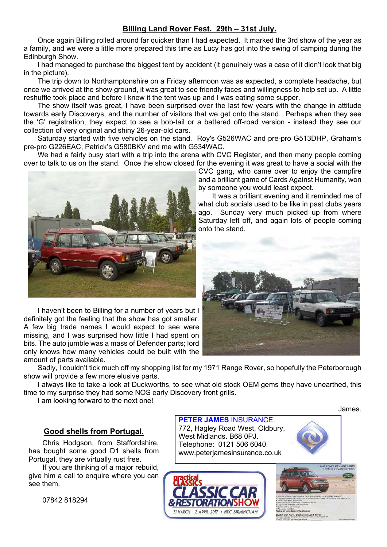# Billing Land Rover Fest. 29th – 31st July.

Once again Billing rolled around far quicker than I had expected. It marked the 3rd show of the year as a family, and we were a little more prepared this time as Lucy has got into the swing of camping during the Edinburgh Show.

I had managed to purchase the biggest tent by accident (it genuinely was a case of it didn't look that big in the picture).

The trip down to Northamptonshire on a Friday afternoon was as expected, a complete headache, but once we arrived at the show ground, it was great to see friendly faces and willingness to help set up. A little reshuffle took place and before I knew it the tent was up and I was eating some supper.

The show itself was great, I have been surprised over the last few years with the change in attitude towards early Discoverys, and the number of visitors that we get onto the stand. Perhaps when they see the 'G' registration, they expect to see a bob-tail or a battered off-road version - instead they see our collection of very original and shiny 26-year-old cars.

Saturday started with five vehicles on the stand. Roy's G526WAC and pre-pro G513DHP, Graham's pre-pro G226EAC, Patrick's G580BKV and me with G534WAC.

We had a fairly busy start with a trip into the arena with CVC Register, and then many people coming over to talk to us on the stand. Once the show closed for the evening it was great to have a social with the



I haven't been to Billing for a number of years but I definitely got the feeling that the show has got smaller. A few big trade names I would expect to see were missing, and I was surprised how little I had spent on bits. The auto jumble was a mass of Defender parts; lord only knows how many vehicles could be built with the amount of parts available.

Sadly, I couldn't tick much off my shopping list for my 1971 Range Rover, so hopefully the Peterborough show will provide a few more elusive parts.

I always like to take a look at Duckworths, to see what old stock OEM gems they have unearthed, this time to my surprise they had some NOS early Discovery front grills.

I am looking forward to the next one!

## Good shells from Portugal.

Chris Hodgson, from Staffordshire, has bought some good D1 shells from Portugal, they are virtually rust free.

If you are thinking of a major rebuild, give him a call to enquire where you can see them.

07842 818294

CVC gang, who came over to enjoy the campfire and a brilliant game of Cards Against Humanity, won by someone you would least expect.

It was a brilliant evening and it reminded me of what club socials used to be like in past clubs years ago. Sunday very much picked up from where Saturday left off, and again lots of people coming onto the stand.





James.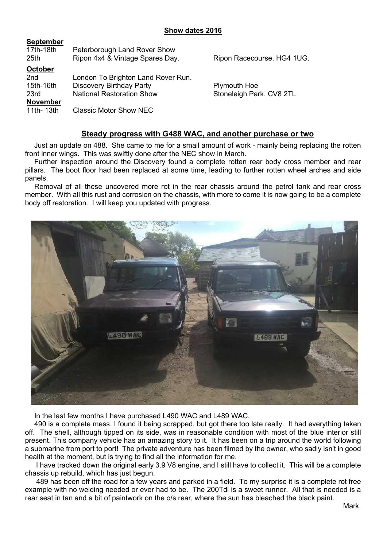| 17th-18th<br>25th | Peterborough Land Rover Show<br>Ripon 4x4 & Vintage Spares Day. | Ripon Racecourse. HG4 1UG. |
|-------------------|-----------------------------------------------------------------|----------------------------|
| <b>October</b>    |                                                                 |                            |
| 2nd               | London To Brighton Land Rover Run.                              |                            |
| 15th-16th         | <b>Discovery Birthday Party</b>                                 | <b>Plymouth Hoe</b>        |
| 23rd              | <b>National Restoration Show</b>                                | Stoneleigh Park. CV8 2TL   |
| <b>November</b>   |                                                                 |                            |
| 11th-13th         | <b>Classic Motor Show NEC</b>                                   |                            |
|                   |                                                                 |                            |

#### Steady progress with G488 WAC, and another purchase or two

Just an update on 488. She came to me for a small amount of work - mainly being replacing the rotten front inner wings. This was swiftly done after the NEC show in March.

Further inspection around the Discovery found a complete rotten rear body cross member and rear pillars. The boot floor had been replaced at some time, leading to further rotten wheel arches and side panels.

Removal of all these uncovered more rot in the rear chassis around the petrol tank and rear cross member. With all this rust and corrosion on the chassis, with more to come it is now going to be a complete body off restoration. I will keep you updated with progress.



In the last few months I have purchased L490 WAC and L489 WAC.

490 is a complete mess. I found it being scrapped, but got there too late really. It had everything taken off. The shell, although tipped on its side, was in reasonable condition with most of the blue interior still present. This company vehicle has an amazing story to it. It has been on a trip around the world following a submarine from port to port! The private adventure has been filmed by the owner, who sadly isn't in good health at the moment, but is trying to find all the information for me.

 I have tracked down the original early 3.9 V8 engine, and I still have to collect it. This will be a complete chassis up rebuild, which has just begun.

 489 has been off the road for a few years and parked in a field. To my surprise it is a complete rot free example with no welding needed or ever had to be. The 200Tdi is a sweet runner. All that is needed is a rear seat in tan and a bit of paintwork on the o/s rear, where the sun has bleached the black paint.